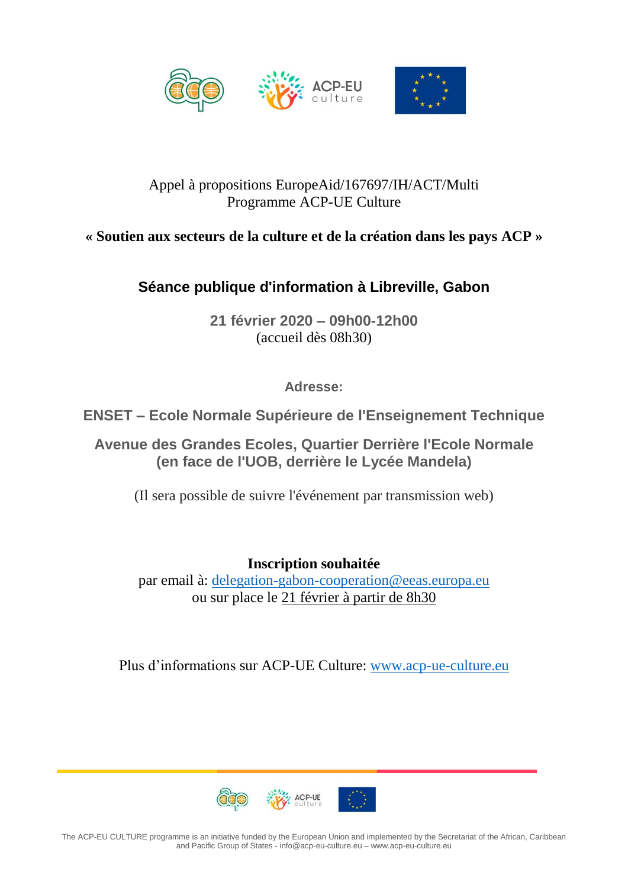

#### Appel à propositions EuropeAid/167697/IH/ACT/Multi Programme ACP-UE Culture

## **« Soutien aux secteurs de la culture et de la création dans les pays ACP »**

# **Séance publique d'information à Libreville, Gabon**

**21 février 2020 – 09h00-12h00** (accueil dès 08h30)

**Adresse:**

**ENSET – Ecole Normale Supérieure de l'Enseignement Technique**

**Avenue des Grandes Ecoles, Quartier Derrière l'Ecole Normale (en face de l'UOB, derrière le Lycée Mandela)**

(Il sera possible de suivre l'événement par transmission web)

**Inscription souhaitée** par email à: [delegation-gabon-cooperation@eeas.europa.eu](mailto:delegation-gabon-cooperation@eeas.europa.eu) ou sur place le 21 février à partir de 8h30

Plus d'informations sur ACP-UE Culture: [www.acp-ue-culture.eu](http://www.acp-ue-culture.eu/)